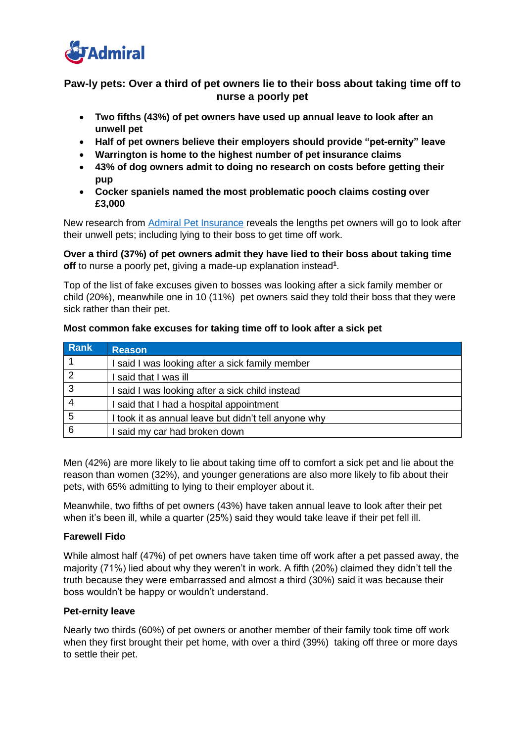

# **Paw-ly pets: Over a third of pet owners lie to their boss about taking time off to nurse a poorly pet**

- **Two fifths (43%) of pet owners have used up annual leave to look after an unwell pet**
- **Half of pet owners believe their employers should provide "pet-ernity" leave**
- **Warrington is home to the highest number of pet insurance claims**
- **43% of dog owners admit to doing no research on costs before getting their pup**
- **Cocker spaniels named the most problematic pooch claims costing over £3,000**

New research from [Admiral Pet Insurance](https://www.admiral.com/pet-insurance) reveals the lengths pet owners will go to look after their unwell pets; including lying to their boss to get time off work.

**Over a third (37%) of pet owners admit they have lied to their boss about taking time off** to nurse a poorly pet, giving a made-up explanation instead**<sup>1</sup>** .

Top of the list of fake excuses given to bosses was looking after a sick family member or child (20%), meanwhile one in 10 (11%) pet owners said they told their boss that they were sick rather than their pet.

| <b>Rank</b>    | <b>Reason</b>                                        |
|----------------|------------------------------------------------------|
|                | said I was looking after a sick family member        |
| $\overline{2}$ | said that I was ill                                  |
| 3              | said I was looking after a sick child instead        |
|                | said that I had a hospital appointment               |
| 5              | I took it as annual leave but didn't tell anyone why |
| 6              | said my car had broken down                          |

### **Most common fake excuses for taking time off to look after a sick pet**

Men (42%) are more likely to lie about taking time off to comfort a sick pet and lie about the reason than women (32%), and younger generations are also more likely to fib about their pets, with 65% admitting to lying to their employer about it.

Meanwhile, two fifths of pet owners (43%) have taken annual leave to look after their pet when it's been ill, while a quarter (25%) said they would take leave if their pet fell ill.

## **Farewell Fido**

While almost half (47%) of pet owners have taken time off work after a pet passed away, the majority (71%) lied about why they weren't in work. A fifth (20%) claimed they didn't tell the truth because they were embarrassed and almost a third (30%) said it was because their boss wouldn't be happy or wouldn't understand.

## **Pet-ernity leave**

Nearly two thirds (60%) of pet owners or another member of their family took time off work when they first brought their pet home, with over a third (39%) taking off three or more days to settle their pet.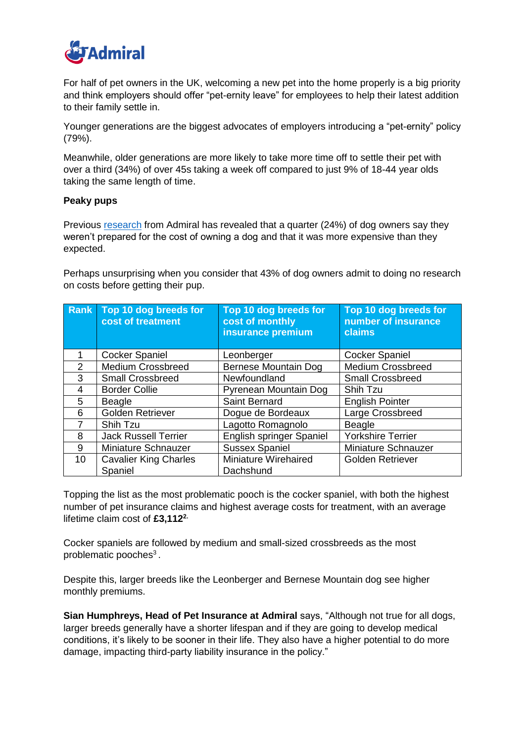

For half of pet owners in the UK, welcoming a new pet into the home properly is a big priority and think employers should offer "pet-ernity leave" for employees to help their latest addition to their family settle in.

Younger generations are the biggest advocates of employers introducing a "pet-ernity" policy (79%).

Meanwhile, older generations are more likely to take more time off to settle their pet with over a third (34%) of over 45s taking a week off compared to just 9% of 18-44 year olds taking the same length of time.

### **Peaky pups**

Previous [research](https://www.admiral.com/barking-mad) from Admiral has revealed that a quarter (24%) of dog owners say they weren't prepared for the cost of owning a dog and that it was more expensive than they expected.

Perhaps unsurprising when you consider that 43% of dog owners admit to doing no research on costs before getting their pup.

| <b>Rank</b>    | Top 10 dog breeds for<br>cost of treatment | Top 10 dog breeds for<br>cost of monthly<br>insurance premium | Top 10 dog breeds for<br>number of insurance<br>claims |
|----------------|--------------------------------------------|---------------------------------------------------------------|--------------------------------------------------------|
|                | <b>Cocker Spaniel</b>                      | Leonberger                                                    | <b>Cocker Spaniel</b>                                  |
| $\mathfrak{p}$ | <b>Medium Crossbreed</b>                   | Bernese Mountain Dog                                          | <b>Medium Crossbreed</b>                               |
| 3              | <b>Small Crossbreed</b>                    | Newfoundland                                                  | <b>Small Crossbreed</b>                                |
| 4              | <b>Border Collie</b>                       | Pyrenean Mountain Dog                                         | Shih Tzu                                               |
| 5              | <b>Beagle</b>                              | Saint Bernard                                                 | <b>English Pointer</b>                                 |
| 6              | <b>Golden Retriever</b>                    | Dogue de Bordeaux                                             | Large Crossbreed                                       |
| 7              | Shih Tzu                                   | Lagotto Romagnolo                                             | <b>Beagle</b>                                          |
| 8              | <b>Jack Russell Terrier</b>                | English springer Spaniel                                      | <b>Yorkshire Terrier</b>                               |
| 9              | Miniature Schnauzer                        | <b>Sussex Spaniel</b>                                         | Miniature Schnauzer                                    |
| 10             | <b>Cavalier King Charles</b><br>Spaniel    | Miniature Wirehaired<br>Dachshund                             | <b>Golden Retriever</b>                                |

Topping the list as the most problematic pooch is the cocker spaniel, with both the highest number of pet insurance claims and highest average costs for treatment, with an average lifetime claim cost of £3,112<sup>2.</sup>

Cocker spaniels are followed by medium and small-sized crossbreeds as the most problematic pooches<sup>3</sup>.

Despite this, larger breeds like the Leonberger and Bernese Mountain dog see higher monthly premiums.

**Sian Humphreys, Head of Pet Insurance at Admiral** says, "Although not true for all dogs, larger breeds generally have a shorter lifespan and if they are going to develop medical conditions, it's likely to be sooner in their life. They also have a higher potential to do more damage, impacting third-party liability insurance in the policy."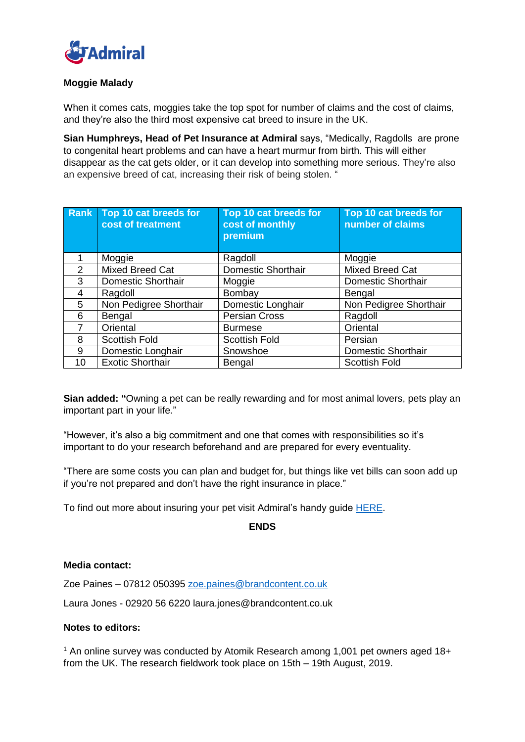

# **Moggie Malady**

When it comes cats, moggies take the top spot for number of claims and the cost of claims, and they're also the third most expensive cat breed to insure in the UK.

**Sian Humphreys, Head of Pet Insurance at Admiral** says, "Medically, Ragdolls are prone to congenital heart problems and can have a heart murmur from birth. This will either disappear as the cat gets older, or it can develop into something more serious. They're also an expensive breed of cat, increasing their risk of being stolen. "

|               | <b>Rank Top 10 cat breeds for</b><br>cost of treatment | Top 10 cat breeds for<br>cost of monthly<br>premium | Top 10 cat breeds for<br>number of claims |
|---------------|--------------------------------------------------------|-----------------------------------------------------|-------------------------------------------|
|               | Moggie                                                 | Ragdoll                                             | Moggie                                    |
| $\mathcal{P}$ | Mixed Breed Cat                                        | <b>Domestic Shorthair</b>                           | Mixed Breed Cat                           |
| 3             | <b>Domestic Shorthair</b>                              | Moggie                                              | <b>Domestic Shorthair</b>                 |
| 4             | Ragdoll                                                | Bombay                                              | Bengal                                    |
| 5             | Non Pedigree Shorthair                                 | Domestic Longhair                                   | Non Pedigree Shorthair                    |
| 6             | Bengal                                                 | <b>Persian Cross</b>                                | Ragdoll                                   |
| 7             | Oriental                                               | <b>Burmese</b>                                      | Oriental                                  |
| 8             | <b>Scottish Fold</b>                                   | <b>Scottish Fold</b>                                | Persian                                   |
| 9             | Domestic Longhair                                      | Snowshoe                                            | Domestic Shorthair                        |
| 10            | <b>Exotic Shorthair</b>                                | <b>Bengal</b>                                       | <b>Scottish Fold</b>                      |

**Sian added: "**Owning a pet can be really rewarding and for most animal lovers, pets play an important part in your life."

"However, it's also a big commitment and one that comes with responsibilities so it's important to do your research beforehand and are prepared for every eventuality.

"There are some costs you can plan and budget for, but things like vet bills can soon add up if you're not prepared and don't have the right insurance in place."

To find out more about insuring your pet visit Admiral's handy guide [HERE.](https://www.admiral.com/pet-insurance/pawly-pets)

# **ENDS**

#### **Media contact:**

Zoe Paines – 07812 050395 [zoe.paines@brandcontent.co.uk](mailto:zoe.paines@brandcontent.co.uk)

Laura Jones - 02920 56 6220 [laura.jones@brandcontent.co.uk](mailto:laura.jones@brandcontent.co.uk) 

#### **Notes to editors:**

<sup>1</sup> An online survey was conducted by Atomik Research among 1,001 pet owners aged 18+ from the UK. The research fieldwork took place on 15th – 19th August, 2019.